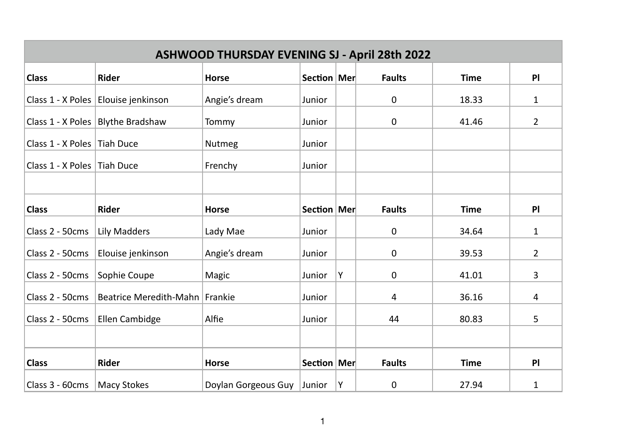| <b>ASHWOOD THURSDAY EVENING SJ - April 28th 2022</b> |                                       |                     |               |   |               |             |                |  |
|------------------------------------------------------|---------------------------------------|---------------------|---------------|---|---------------|-------------|----------------|--|
| <b>Class</b>                                         | Rider                                 | <b>Horse</b>        | Section   Mer |   | <b>Faults</b> | <b>Time</b> | <b>PI</b>      |  |
|                                                      | Class 1 - X Poles   Elouise jenkinson | Angie's dream       | Junior        |   | $\mathbf 0$   | 18.33       | 1              |  |
|                                                      | Class 1 - X Poles   Blythe Bradshaw   | Tommy               | Junior        |   | $\mathbf 0$   | 41.46       | 2              |  |
| Class 1 - X Poles Tiah Duce                          |                                       | Nutmeg              | Junior        |   |               |             |                |  |
| Class 1 - X Poles Tiah Duce                          |                                       | Frenchy             | Junior        |   |               |             |                |  |
|                                                      |                                       |                     |               |   |               |             |                |  |
| <b>Class</b>                                         | Rider                                 | <b>Horse</b>        | Section   Mer |   | <b>Faults</b> | <b>Time</b> | PI             |  |
| Class 2 - 50cms                                      | <b>Lily Madders</b>                   | Lady Mae            | Junior        |   | $\mathbf 0$   | 34.64       | $\mathbf{1}$   |  |
| Class 2 - 50cms                                      | Elouise jenkinson                     | Angie's dream       | Junior        |   | $\mathbf 0$   | 39.53       | $\overline{2}$ |  |
| Class 2 - 50cms                                      | Sophie Coupe                          | Magic               | Junior        | Υ | 0             | 41.01       | 3              |  |
| Class 2 - 50cms                                      | Beatrice Meredith-Mahn                | Frankie             | Junior        |   | 4             | 36.16       | 4              |  |
| Class 2 - 50cms                                      | Ellen Cambidge                        | Alfie               | Junior        |   | 44            | 80.83       | 5              |  |
|                                                      |                                       |                     |               |   |               |             |                |  |
| <b>Class</b>                                         | Rider                                 | <b>Horse</b>        | Section   Mer |   | <b>Faults</b> | <b>Time</b> | P              |  |
| Class 3 - 60cms   Macy Stokes                        |                                       | Doylan Gorgeous Guy | Junior        | Υ | 0             | 27.94       | 1              |  |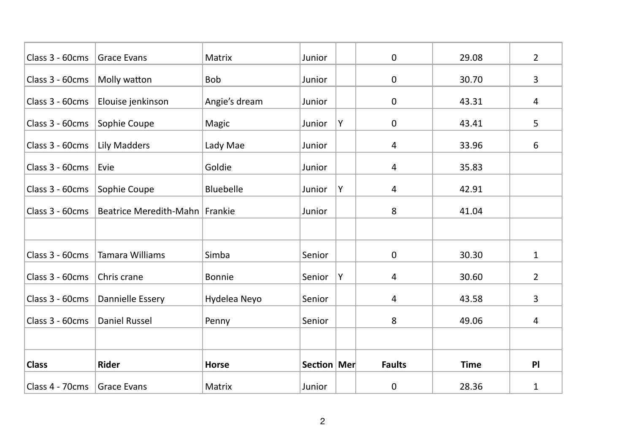| Class 3 - 60cms             | <b>Grace Evans</b>             | Matrix           | Junior        |   | $\mathbf 0$    | 29.08       | 2              |
|-----------------------------|--------------------------------|------------------|---------------|---|----------------|-------------|----------------|
| Class 3 - 60cms             | Molly watton                   | Bob              | Junior        |   | 0              | 30.70       | 3              |
| Class 3 - 60cms             | Elouise jenkinson              | Angie's dream    | Junior        |   | 0              | 43.31       | 4              |
| Class 3 - 60cms             | Sophie Coupe                   | Magic            | Junior        | Y | 0              | 43.41       | 5              |
| Class 3 - 60cms             | Lily Madders                   | Lady Mae         | Junior        |   | 4              | 33.96       | 6              |
| Class 3 - 60cms             | Evie                           | Goldie           | Junior        |   | $\overline{a}$ | 35.83       |                |
| Class 3 - 60cms             | Sophie Coupe                   | <b>Bluebelle</b> | Junior        | Y | 4              | 42.91       |                |
| Class 3 - 60cms             | Beatrice Meredith-Mahn Frankie |                  | Junior        |   | 8              | 41.04       |                |
|                             |                                |                  |               |   |                |             |                |
| Class 3 - 60cms             | <b>Tamara Williams</b>         | Simba            | Senior        |   | 0              | 30.30       | $\mathbf{1}$   |
| Class 3 - 60cms             | Chris crane                    | <b>Bonnie</b>    | Senior        | Υ | 4              | 30.60       | $\overline{2}$ |
| Class 3 - 60cms             | Dannielle Essery               | Hydelea Neyo     | Senior        |   | 4              | 43.58       | 3              |
| Class 3 - 60cms             | <b>Daniel Russel</b>           | Penny            | Senior        |   | 8              | 49.06       | 4              |
|                             |                                |                  |               |   |                |             |                |
| <b>Class</b>                | Rider                          | <b>Horse</b>     | Section   Mer |   | <b>Faults</b>  | <b>Time</b> | PI             |
| Class 4 - 70cms Grace Evans |                                | Matrix           | Junior        |   | 0              | 28.36       | 1              |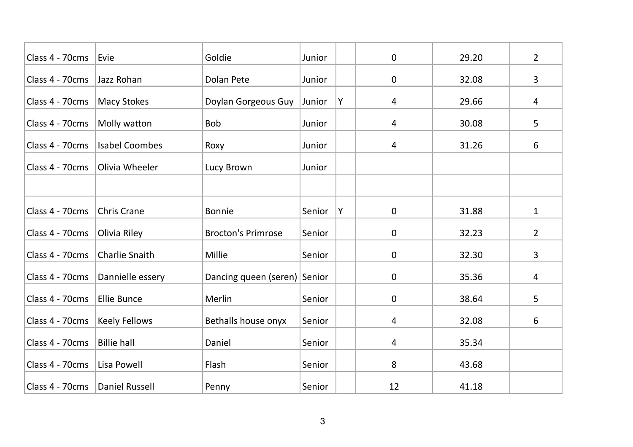| Class 4 - 70cms                  | Evie                  | Goldie                       | Junior |   | $\mathbf 0$    | 29.20 | $\overline{2}$ |
|----------------------------------|-----------------------|------------------------------|--------|---|----------------|-------|----------------|
| Class 4 - 70cms                  | Jazz Rohan            | Dolan Pete                   | Junior |   | 0              | 32.08 | 3              |
| Class 4 - 70cms                  | <b>Macy Stokes</b>    | Doylan Gorgeous Guy          | Junior | Υ | $\overline{a}$ | 29.66 | 4              |
| Class 4 - 70cms                  | Molly watton          | Bob                          | Junior |   | 4              | 30.08 | 5              |
| Class 4 - 70cms                  | <b>Isabel Coombes</b> | Roxy                         | Junior |   | 4              | 31.26 | 6              |
| Class 4 - 70cms                  | <b>Olivia Wheeler</b> | Lucy Brown                   | Junior |   |                |       |                |
|                                  |                       |                              |        |   |                |       |                |
| Class 4 - 70cms                  | <b>Chris Crane</b>    | <b>Bonnie</b>                | Senior | Υ | $\mathbf 0$    | 31.88 | $\mathbf{1}$   |
| Class 4 - 70cms                  | Olivia Riley          | <b>Brocton's Primrose</b>    | Senior |   | 0              | 32.23 | $\overline{2}$ |
| Class 4 - 70cms                  | Charlie Snaith        | Millie                       | Senior |   | $\mathbf 0$    | 32.30 | 3              |
| Class 4 - 70cms                  | Dannielle essery      | Dancing queen (seren) Senior |        |   | 0              | 35.36 | 4              |
| Class 4 - 70cms                  | <b>Ellie Bunce</b>    | Merlin                       | Senior |   | $\mathbf 0$    | 38.64 | 5              |
| Class 4 - 70cms                  | Keely Fellows         | Bethalls house onyx          | Senior |   | 4              | 32.08 | 6              |
| Class 4 - 70cms                  | <b>Billie hall</b>    | Daniel                       | Senior |   | $\overline{a}$ | 35.34 |                |
| Class 4 - 70cms                  | Lisa Powell           | Flash                        | Senior |   | 8              | 43.68 |                |
| Class 4 - 70cms   Daniel Russell |                       | Penny                        | Senior |   | 12             | 41.18 |                |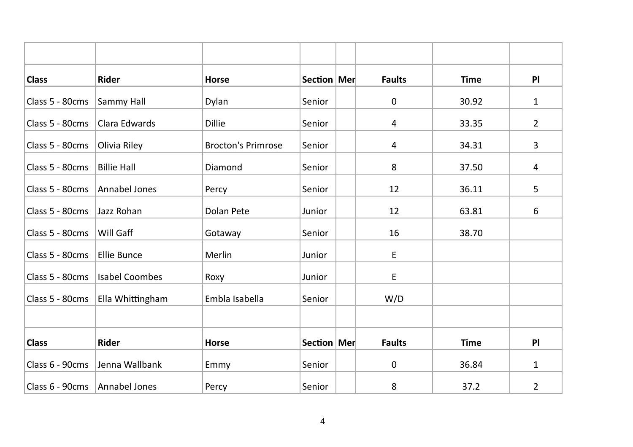| <b>Class</b>                    | <b>Rider</b>          | <b>Horse</b>              | Section   Mer | <b>Faults</b> | <b>Time</b> | PI             |
|---------------------------------|-----------------------|---------------------------|---------------|---------------|-------------|----------------|
| Class 5 - 80cms                 | Sammy Hall            | Dylan                     | Senior        | $\mathsf 0$   | 30.92       | $\mathbf{1}$   |
| Class 5 - 80cms                 | Clara Edwards         | Dillie                    | Senior        | 4             | 33.35       | $\overline{2}$ |
| Class 5 - 80cms                 | Olivia Riley          | <b>Brocton's Primrose</b> | Senior        | 4             | 34.31       | 3              |
| Class 5 - 80cms                 | <b>Billie Hall</b>    | Diamond                   | Senior        | 8             | 37.50       | 4              |
| Class 5 - 80cms                 | Annabel Jones         | Percy                     | Senior        | 12            | 36.11       | 5              |
| Class 5 - 80cms                 | Jazz Rohan            | Dolan Pete                | Junior        | 12            | 63.81       | 6              |
| Class 5 - 80cms                 | Will Gaff             | Gotaway                   | Senior        | 16            | 38.70       |                |
| Class 5 - 80cms                 | <b>Ellie Bunce</b>    | Merlin                    | Junior        | E             |             |                |
| Class 5 - 80cms                 | <b>Isabel Coombes</b> | Roxy                      | Junior        | E             |             |                |
| Class 5 - 80cms                 | Ella Whittingham      | Embla Isabella            | Senior        | W/D           |             |                |
|                                 |                       |                           |               |               |             |                |
| <b>Class</b>                    | Rider                 | <b>Horse</b>              | Section   Mer | <b>Faults</b> | <b>Time</b> | PI             |
| Class 6 - 90cms                 | Jenna Wallbank        | Emmy                      | Senior        | 0             | 36.84       | 1              |
| Class 6 - 90cms   Annabel Jones |                       | Percy                     | Senior        | 8             | 37.2        | 2              |